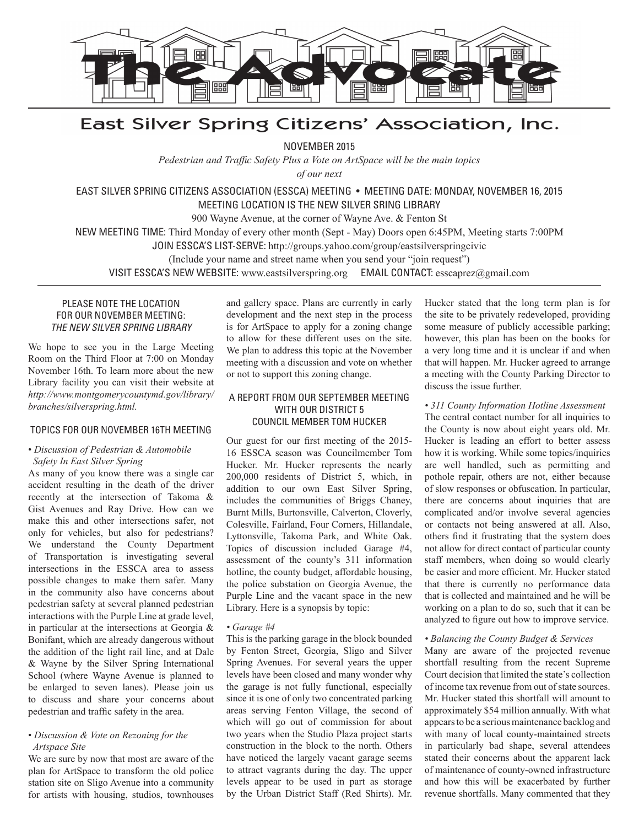

# East Silver Spring Citizens' Association, Inc.

NOVEMBER 2015

*Pedestrian and Traffic Safety Plus a Vote on ArtSpace will be the main topics* 

*of our next*

EAST SILVER SPRING CITIZENS ASSOCIATION (ESSCA) MEETING • MEETING DATE: MONDAY, NOVEMBER 16, 2015 MEETING LOCATION IS THE NEW SILVER SRING LIBRARY

900 Wayne Avenue, at the corner of Wayne Ave. & Fenton St

NEW MEETING TIME: Third Monday of every other month (Sept - May) Doors open 6:45PM, Meeting starts 7:00PM

JOIN ESSCA'S LIST-SERVE: http://groups.yahoo.com/group/eastsilverspringcivic

(Include your name and street name when you send your "join request")

VISIT ESSCA'S NEW WEBSITE: www.eastsilverspring.org EMAIL CONTACT: esscaprez@gmail.com

# PLEASE NOTE THE LOCATION FOR OUR NOVEMBER MEETING: *THE NEW SILVER SPRING LIBRARY*

We hope to see you in the Large Meeting Room on the Third Floor at 7:00 on Monday November 16th. To learn more about the new Library facility you can visit their website at *http://www.montgomerycountymd.gov/library/ branches/silverspring.html.*

### TOPICS FOR OUR NOVEMBER 16TH MEETING

# • *Discussion of Pedestrian & Automobile Safety In East Silver Spring*

As many of you know there was a single car accident resulting in the death of the driver recently at the intersection of Takoma & Gist Avenues and Ray Drive. How can we make this and other intersections safer, not only for vehicles, but also for pedestrians? We understand the County Department of Transportation is investigating several intersections in the ESSCA area to assess possible changes to make them safer. Many in the community also have concerns about pedestrian safety at several planned pedestrian interactions with the Purple Line at grade level, in particular at the intersections at Georgia & Bonifant, which are already dangerous without the addition of the light rail line, and at Dale & Wayne by the Silver Spring International School (where Wayne Avenue is planned to be enlarged to seven lanes). Please join us to discuss and share your concerns about pedestrian and traffic safety in the area.

#### • *Discussion & Vote on Rezoning for the Artspace Site*

We are sure by now that most are aware of the plan for ArtSpace to transform the old police station site on Sligo Avenue into a community for artists with housing, studios, townhouses and gallery space. Plans are currently in early development and the next step in the process is for ArtSpace to apply for a zoning change to allow for these different uses on the site. We plan to address this topic at the November meeting with a discussion and vote on whether or not to support this zoning change.

# A REPORT FROM OUR SEPTEMBER MEETING WITH OUR DISTRICT 5 COUNCIL MEMBER TOM HUCKER

Our guest for our first meeting of the 2015- 16 ESSCA season was Councilmember Tom Hucker. Mr. Hucker represents the nearly 200,000 residents of District 5, which, in addition to our own East Silver Spring, includes the communities of Briggs Chaney, Burnt Mills, Burtonsville, Calverton, Cloverly, Colesville, Fairland, Four Corners, Hillandale, Lyttonsville, Takoma Park, and White Oak. Topics of discussion included Garage #4, assessment of the county's 311 information hotline, the county budget, affordable housing, the police substation on Georgia Avenue, the Purple Line and the vacant space in the new Library. Here is a synopsis by topic:

### *• Garage #4*

This is the parking garage in the block bounded by Fenton Street, Georgia, Sligo and Silver Spring Avenues. For several years the upper levels have been closed and many wonder why the garage is not fully functional, especially since it is one of only two concentrated parking areas serving Fenton Village, the second of which will go out of commission for about two years when the Studio Plaza project starts construction in the block to the north. Others have noticed the largely vacant garage seems to attract vagrants during the day. The upper levels appear to be used in part as storage by the Urban District Staff (Red Shirts). Mr.

Hucker stated that the long term plan is for the site to be privately redeveloped, providing some measure of publicly accessible parking; however, this plan has been on the books for a very long time and it is unclear if and when that will happen. Mr. Hucker agreed to arrange a meeting with the County Parking Director to discuss the issue further.

# *• 311 County Information Hotline Assessment*

The central contact number for all inquiries to the County is now about eight years old. Mr. Hucker is leading an effort to better assess how it is working. While some topics/inquiries are well handled, such as permitting and pothole repair, others are not, either because of slow responses or obfuscation. In particular, there are concerns about inquiries that are complicated and/or involve several agencies or contacts not being answered at all. Also, others find it frustrating that the system does not allow for direct contact of particular county staff members, when doing so would clearly be easier and more efficient. Mr. Hucker stated that there is currently no performance data that is collected and maintained and he will be working on a plan to do so, such that it can be analyzed to figure out how to improve service.

### *• Balancing the County Budget & Services*

Many are aware of the projected revenue shortfall resulting from the recent Supreme Court decision that limited the state's collection of income tax revenue from out of state sources. Mr. Hucker stated this shortfall will amount to approximately \$54 million annually. With what appears to be a serious maintenance backlog and with many of local county-maintained streets in particularly bad shape, several attendees stated their concerns about the apparent lack of maintenance of county-owned infrastructure and how this will be exacerbated by further revenue shortfalls. Many commented that they